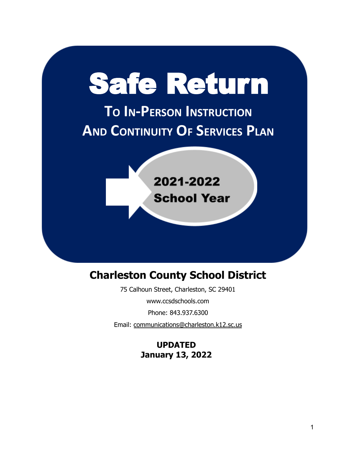# Safe Return

**TO IN-PERSON INSTRUCTION AND CONTINUITY OF SERVICES PLAN**

> 2021-2022 **School Year**

# **Charleston County School District**

75 Calhoun Street, Charleston, SC 29401

www.ccsdschools.com

Phone: 843.937.6300

Email: [communications@charleston.k12.sc.us](mailto:communications@charleston.k12.sc.us)

**UPDATED January 13, 2022**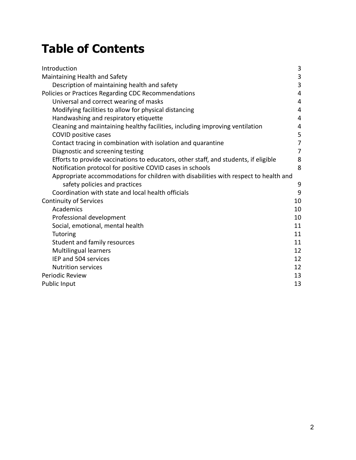# **Table of Contents**

| Introduction                                                                         | 3              |
|--------------------------------------------------------------------------------------|----------------|
| Maintaining Health and Safety                                                        | 3              |
| Description of maintaining health and safety                                         | $\overline{3}$ |
| Policies or Practices Regarding CDC Recommendations                                  | 4              |
| Universal and correct wearing of masks                                               | 4              |
| Modifying facilities to allow for physical distancing                                | 4              |
| Handwashing and respiratory etiquette                                                | 4              |
| Cleaning and maintaining healthy facilities, including improving ventilation         | 4              |
| COVID positive cases                                                                 | 5              |
| Contact tracing in combination with isolation and quarantine                         | 7              |
| Diagnostic and screening testing                                                     | 7              |
| Efforts to provide vaccinations to educators, other staff, and students, if eligible | 8              |
| Notification protocol for positive COVID cases in schools                            | 8              |
| Appropriate accommodations for children with disabilities with respect to health and |                |
| safety policies and practices                                                        | 9              |
| Coordination with state and local health officials                                   | 9              |
| <b>Continuity of Services</b>                                                        | 10             |
| Academics                                                                            | 10             |
| Professional development                                                             | 10             |
| Social, emotional, mental health                                                     | 11             |
| <b>Tutoring</b>                                                                      | 11             |
| Student and family resources                                                         | 11             |
| <b>Multilingual learners</b>                                                         | 12             |
| IEP and 504 services                                                                 | 12             |
| <b>Nutrition services</b>                                                            | 12             |
| Periodic Review                                                                      | 13             |
| Public Input                                                                         | 13             |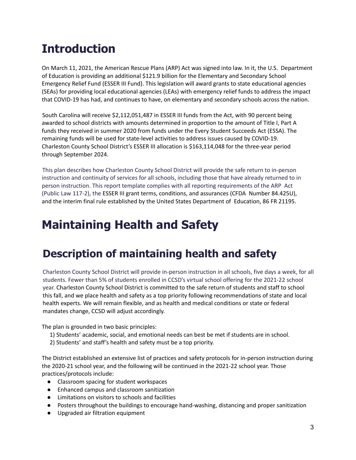# **Introduction**

On March 11, 2021, the American Rescue Plans (ARP) Act was signed into law. In it, the U.S. Department of Education is providing an additional \$121.9 billion for the Elementary and Secondary School Emergency Relief Fund (ESSER III Fund). This legislation will award grants to state educational agencies (SEAs) for providing local educational agencies (LEAs) with emergency relief funds to address the impact that COVID-19 has had, and continues to have, on elementary and secondary schools across the nation.

South Carolina will receive \$2,112,051,487 in ESSER III funds from the Act, with 90 percent being awarded to school districts with amounts determined in proportion to the amount of Title I, Part A funds they received in summer 2020 from funds under the Every Student Succeeds Act (ESSA). The remaining funds will be used for state-level activities to address issues caused by COVID-19. Charleston County School District's ESSER III allocation is \$163,114,048 for the three-year period through September 2024.

This plan describes how Charleston County School District will provide the safe return to in-person instruction and continuity of services for all schools, including those that have already returned to in person instruction. This report template complies with all reporting requirements of the ARP Act (Public Law 117-2), the ESSER III grant terms, conditions, and assurances (CFDA Number 84.425U), and the interim final rule established by the United States Department of Education, 86 FR 21195.

# **Maintaining Health and Safety**

# **Description of maintaining health and safety**

Charleston County School District will provide in-person instruction in all schools, five days a week, for all students. Fewer than 5% of students enrolled in CCSD's virtual school offering for the 2021-22 school year. Charleston County School District is committed to the safe return of students and staff to school this fall, and we place health and safety as a top priority following recommendations of state and local health experts. We will remain flexible, and as health and medical conditions or state or federal mandates change, CCSD will adjust accordingly.

The plan is grounded in two basic principles:

- 1) Students' academic, social, and emotional needs can best be met if students are in school.
- 2) Students' and staff's health and safety must be a top priority.

The District established an extensive list of practices and safety protocols for in-person instruction during the 2020-21 school year, and the following will be continued in the 2021-22 school year. Those practices/protocols include:

- Classroom spacing for student workspaces
- Enhanced campus and classroom sanitization
- Limitations on visitors to schools and facilities
- Posters throughout the buildings to encourage hand-washing, distancing and proper sanitization
- Upgraded air filtration equipment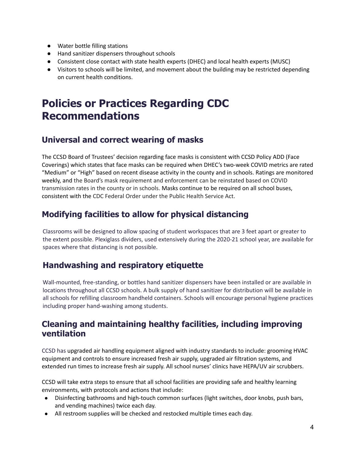- Water bottle filling stations
- Hand sanitizer dispensers throughout schools
- Consistent close contact with state health experts (DHEC) and local health experts (MUSC)
- Visitors to schools will be limited, and movement about the building may be restricted depending on current health conditions.

# **Policies or Practices Regarding CDC Recommendations**

## **Universal and correct wearing of masks**

The CCSD Board of Trustees' decision regarding face masks is consistent with CCSD Policy ADD (Face Coverings) which states that face masks can be required when DHEC's two-week COVID metrics are rated "Medium" or "High" based on recent disease activity in the county and in schools. Ratings are monitored weekly, and the Board's mask requirement and enforcement can be reinstated based on COVID transmission rates in the county or in schools. Masks continue to be required on all school buses, consistent with the CDC Federal Order under the Public Health Service Act.

# **Modifying facilities to allow for physical distancing**

Classrooms will be designed to allow spacing of student workspaces that are 3 feet apart or greater to the extent possible. Plexiglass dividers, used extensively during the 2020-21 school year, are available for spaces where that distancing is not possible.

# **Handwashing and respiratory etiquette**

Wall-mounted, free-standing, or bottles hand sanitizer dispensers have been installed or are available in locations throughout all CCSD schools. A bulk supply of hand sanitizer for distribution will be available in all schools for refilling classroom handheld containers. Schools will encourage personal hygiene practices including proper hand-washing among students.

### **Cleaning and maintaining healthy facilities, including improving ventilation**

CCSD has upgraded air handling equipment aligned with industry standards to include: grooming HVAC equipment and controls to ensure increased fresh air supply, upgraded air filtration systems, and extended run times to increase fresh air supply. All school nurses' clinics have HEPA/UV air scrubbers.

CCSD will take extra steps to ensure that all school facilities are providing safe and healthy learning environments, with protocols and actions that include:

- Disinfecting bathrooms and high-touch common surfaces (light switches, door knobs, push bars, and vending machines) twice each day.
- All restroom supplies will be checked and restocked multiple times each day.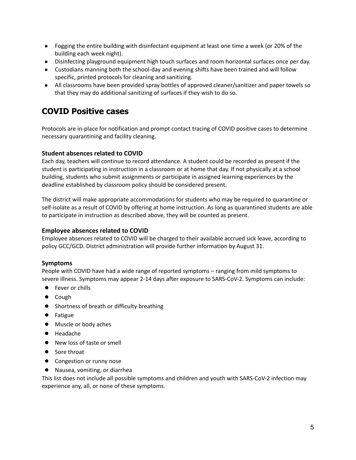- Fogging the entire building with disinfectant equipment at least one time a week (or 20% of the building each week night).
- Disinfecting playground equipment high touch surfaces and room horizontal surfaces once per day.
- Custodians manning both the school-day and evening shifts have been trained and will follow specific, printed protocols for cleaning and sanitizing.
- All classrooms have been provided spray bottles of approved cleaner/sanitizer and paper towels so that they may do additional sanitizing of surfaces if they wish to do so.

### **COVID Positive cases**

Protocols are in-place for notification and prompt contact tracing of COVID positive cases to determine necessary quarantining and facility cleaning.

#### **Student absences related to COVID**

Each day, teachers will continue to record attendance. A student could be recorded as present if the student is participating in instruction in a classroom or at home that day. If not physically at a school building, students who submit assignments or participate in assigned learning experiences by the deadline established by classroom policy should be considered present.

The district will make appropriate accommodations for students who may be required to quarantine or self-isolate as a result of COVID by offering at home instruction. As long as quarantined students are able to participate in instruction as described above, they will be counted as present.

#### **Employee absences related to COVID**

Employee absences related to COVID will be charged to their available accrued sick leave, according to policy GCC/GCD. District administration will provide further information by August 31.

#### **Symptoms**

People with COVID have had a wide range of reported symptoms – ranging from mild symptoms to severe illness. Symptoms may appear 2-14 days after exposure to SARS-CoV-2. Symptoms can include:

- Fever or chills
- Cough
- Shortness of breath or difficulty breathing
- Fatigue
- Muscle or body aches
- Headache
- New loss of taste or smell
- Sore throat
- Congestion or runny nose
- Nausea, vomiting, or diarrhea

This list does not include all possible symptoms and children and youth with SARS-CoV-2 infection may experience any, all, or none of these symptoms.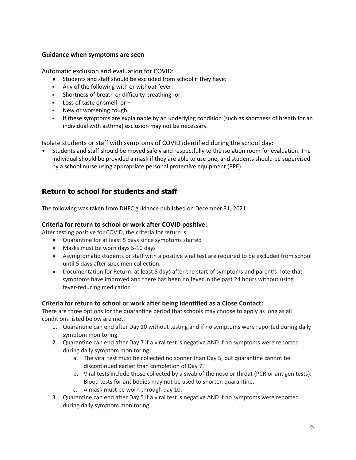#### **Guidance when symptoms are seen**

Automatic exclusion and evaluation for COVID:

- Students and staff should be excluded from school if they have:
- Any of the following with or without fever:
- Shortness of breath or difficulty breathing -or -
- Loss of taste or smell -or –
- New or worsening cough
- **•** If these symptoms are explainable by an underlying condition (such as shortness of breath for an individual with asthma) exclusion may not be necessary.

Isolate students or staff with symptoms of COVID identified during the school day:

• Students and staff should be moved safely and respectfully to the isolation room for evaluation. The individual should be provided a mask if they are able to use one, and students should be supervised by a school nurse using appropriate personal protective equipment (PPE).

#### **Return to school for students and staff**

The following was taken from DHEC guidance published on December 31, 2021.

#### **Criteria for return to school or work after COVID positive:**

After testing positive for COVID, the criteria for return is:

- Quarantine for at least 5 days since symptoms started
- Masks must be worn days 5-10 days
- Asymptomatic students or staff with a positive viral test are required to be excluded from school until 5 days after specimen collection.
- Documentation for Return: at least 5 days after the start of symptoms and parent's note that symptoms have improved and there has been no fever in the past 24 hours without using fever-reducing medication

#### **Criteria for return to school or work after being identified as a Close Contact:**

There are three options for the quarantine period that schools may choose to apply as long as all conditions listed below are met.

- 1. Quarantine can end after Day 10 without testing and if no symptoms were reported during daily symptom monitoring.
- 2. Quarantine can end after Day 7 if a viral test is negative AND if no symptoms were reported during daily symptom monitoring.
	- a. The viral test must be collected no sooner than Day 5, but quarantine cannot be discontinued earlier than completion of Day 7.
	- b. Viral tests include those collected by a swab of the nose or throat (PCR or antigen tests). Blood tests for antibodies may not be used to shorten quarantine.
	- c. A mask must be worn through day 10.
- 3. Quarantine can end after Day 5 if a viral test is negative AND if no symptoms were reported during daily symptom monitoring.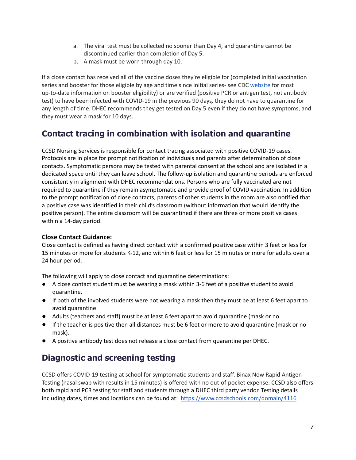- a. The viral test must be collected no sooner than Day 4, and quarantine cannot be discontinued earlier than completion of Day 5.
- b. A mask must be worn through day 10.

If a close contact has received all of the vaccine doses they're eligible for (completed initial vaccination series and booster for those eligible by age and time since initial series- see CDC [website](https://nam10.safelinks.protection.outlook.com/?url=https%3A%2F%2Fwww.cdc.gov%2Fcoronavirus%2F2019-ncov%2Fvaccines%2Fbooster-shot.html&data=04%7C01%7CCOMMUNICATIONS%40LISTSERV.ED.SC.GOV%7C09cb71ef56f24f20dccc08d9cd8573d7%7C2704e2c529f54f7eb91cbd56f0685995%7C0%7C0%7C637766795516609095%7CUnknown%7CTWFpbGZsb3d8eyJWIjoiMC4wLjAwMDAiLCJQIjoiV2luMzIiLCJBTiI6Ik1haWwiLCJXVCI6Mn0%3D%7C3000&sdata=J%2FGjAQ5J%2F6UA0q5RATkHJWGhagrNRjTpsQibDX4ONEU%3D&reserved=0) for most up-to-date information on booster eligibility) or are verified (positive PCR or antigen test, not antibody test) to have been infected with COVID-19 in the previous 90 days*,* they do not have to quarantine for any length of time. DHEC recommends they get tested on Day 5 even if they do not have symptoms, and they must wear a mask for 10 days.

# **Contact tracing in combination with isolation and quarantine**

CCSD Nursing Services is responsible for contact tracing associated with positive COVID-19 cases. Protocols are in place for prompt notification of individuals and parents after determination of close contacts. Symptomatic persons may be tested with parental consent at the school and are isolated in a dedicated space until they can leave school. The follow-up isolation and quarantine periods are enforced consistently in alignment with DHEC recommendations. Persons who are fully vaccinated are not required to quarantine if they remain asymptomatic and provide proof of COVID vaccination. In addition to the prompt notification of close contacts, parents of other students in the room are also notified that a positive case was identified in their child's classroom (without information that would identify the positive person). The entire classroom will be quarantined if there are three or more positive cases within a 14-day period.

#### **Close Contact Guidance:**

Close contact is defined as having direct contact with a confirmed positive case within 3 feet or less for 15 minutes or more for students K-12, and within 6 feet or less for 15 minutes or more for adults over a 24 hour period.

The following will apply to close contact and quarantine determinations:

- A close contact student must be wearing a mask within 3-6 feet of a positive student to avoid quarantine.
- If both of the involved students were not wearing a mask then they must be at least 6 feet apart to avoid quarantine
- Adults (teachers and staff) must be at least 6 feet apart to avoid quarantine (mask or no
- If the teacher is positive then all distances must be 6 feet or more to avoid quarantine (mask or no mask).
- A positive antibody test does not release a close contact from quarantine per DHEC.

## **Diagnostic and screening testing**

CCSD offers COVID-19 testing at school for symptomatic students and staff. Binax Now Rapid Antigen Testing (nasal swab with results in 15 minutes) is offered with no out-of-pocket expense. CCSD also offers both rapid and PCR testing for staff and students through a DHEC third party vendor. Testing details including dates, times and locations can be found at: <https://www.ccsdschools.com/domain/4116>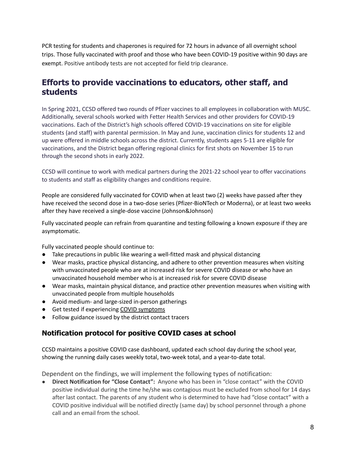PCR testing for students and chaperones is required for 72 hours in advance of all overnight school trips. Those fully vaccinated with proof and those who have been COVID-19 positive within 90 days are exempt. Positive antibody tests are not accepted for field trip clearance.

### **Efforts to provide vaccinations to educators, other staff, and students**

In Spring 2021, CCSD offered two rounds of Pfizer vaccines to all employees in collaboration with MUSC. Additionally, several schools worked with Fetter Health Services and other providers for COVID-19 vaccinations. Each of the District's high schools offered COVID-19 vaccinations on site for eligible students (and staff) with parental permission. In May and June, vaccination clinics for students 12 and up were offered in middle schools across the district. Currently, students ages 5-11 are eligible for vaccinations, and the District began offering regional clinics for first shots on November 15 to run through the second shots in early 2022.

CCSD will continue to work with medical partners during the 2021-22 school year to offer vaccinations to students and staff as eligibility changes and conditions require.

People are considered fully vaccinated for COVID when at least two (2) weeks have passed after they have received the second dose in a two-dose series (Pfizer-BioNTech or Moderna), or at least two weeks after they have received a single-dose vaccine (Johnson&Johnson)

Fully vaccinated people can refrain from quarantine and testing following a known exposure if they are asymptomatic.

Fully vaccinated people should continue to:

- Take precautions in public like wearing a well-fitted mask and physical distancing
- Wear masks, practice physical distancing, and adhere to other prevention measures when visiting with unvaccinated people who are at increased risk for severe COVID disease or who have an unvaccinated household member who is at increased risk for severe COVID disease
- Wear masks, maintain physical distance, and practice other prevention measures when visiting with unvaccinated people from multiple households
- Avoid medium- and large-sized in-person gatherings
- Get tested if experiencing COVID [symptoms](https://www.cdc.gov/coronavirus/2019-ncov/symptoms-testing/symptoms.html)
- Follow guidance issued by the district contact tracers

#### **Notification protocol for positive COVID cases at school**

CCSD maintains a positive COVID case dashboard, updated each school day during the school year, showing the running daily cases weekly total, two-week total, and a year-to-date total.

Dependent on the findings, we will implement the following types of notification:

● **Direct Notification for "Close Contact":** Anyone who has been in "close contact" with the COVID positive individual during the time he/she was contagious must be excluded from school for 14 days after last contact. The parents of any student who is determined to have had "close contact" with a COVID positive individual will be notified directly (same day) by school personnel through a phone call and an email from the school.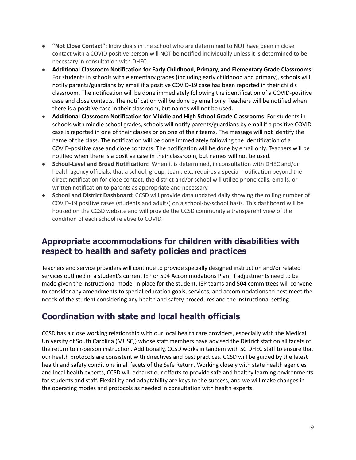- **"Not Close Contact":** Individuals in the school who are determined to NOT have been in close contact with a COVID positive person will NOT be notified individually unless it is determined to be necessary in consultation with DHEC.
- **Additional Classroom Notification for Early Childhood, Primary, and Elementary Grade Classrooms:** For students in schools with elementary grades (including early childhood and primary), schools will notify parents/guardians by email if a positive COVID-19 case has been reported in their child's classroom. The notification will be done immediately following the identification of a COVID-positive case and close contacts. The notification will be done by email only. Teachers will be notified when there is a positive case in their classroom, but names will not be used.
- **Additional Classroom Notification for Middle and High School Grade Classrooms**: For students in schools with middle school grades, schools will notify parents/guardians by email if a positive COVID case is reported in one of their classes or on one of their teams. The message will not identify the name of the class. The notification will be done immediately following the identification of a COVID-positive case and close contacts. The notification will be done by email only. Teachers will be notified when there is a positive case in their classroom, but names will not be used.
- **School-Level and Broad Notification:** When it is determined, in consultation with DHEC and/or health agency officials, that a school, group, team, etc. requires a special notification beyond the direct notification for close contact, the district and/or school will utilize phone calls, emails, or written notification to parents as appropriate and necessary.
- **School and District Dashboard:** CCSD will provide data updated daily showing the rolling number of COVID-19 positive cases (students and adults) on a school-by-school basis. This dashboard will be housed on the CCSD website and will provide the CCSD community a transparent view of the condition of each school relative to COVID.

## **Appropriate accommodations for children with disabilities with respect to health and safety policies and practices**

Teachers and service providers will continue to provide specially designed instruction and/or related services outlined in a student's current IEP or 504 Accommodations Plan. If adjustments need to be made given the instructional model in place for the student, IEP teams and 504 committees will convene to consider any amendments to special education goals, services, and accommodations to best meet the needs of the student considering any health and safety procedures and the instructional setting.

# **Coordination with state and local health officials**

CCSD has a close working relationship with our local health care providers, especially with the Medical University of South Carolina (MUSC,) whose staff members have advised the District staff on all facets of the return to in-person instruction. Additionally, CCSD works in tandem with SC DHEC staff to ensure that our health protocols are consistent with directives and best practices. CCSD will be guided by the latest health and safety conditions in all facets of the Safe Return. Working closely with state health agencies and local health experts, CCSD will exhaust our efforts to provide safe and healthy learning environments for students and staff. Flexibility and adaptability are keys to the success, and we will make changes in the operating modes and protocols as needed in consultation with health experts.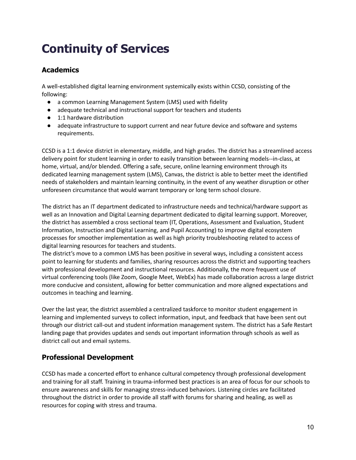# **Continuity of Services**

### **Academics**

A well-established digital learning environment systemically exists within CCSD, consisting of the following:

- a common Learning Management System (LMS) used with fidelity
- adequate technical and instructional support for teachers and students
- 1:1 hardware distribution
- adequate infrastructure to support current and near future device and software and systems requirements.

CCSD is a 1:1 device district in elementary, middle, and high grades. The district has a streamlined access delivery point for student learning in order to easily transition between learning models--in-class, at home, virtual, and/or blended. Offering a safe, secure, online learning environment through its dedicated learning management system (LMS), Canvas, the district is able to better meet the identified needs of stakeholders and maintain learning continuity, in the event of any weather disruption or other unforeseen circumstance that would warrant temporary or long term school closure.

The district has an IT department dedicated to infrastructure needs and technical/hardware support as well as an Innovation and Digital Learning department dedicated to digital learning support. Moreover, the district has assembled a cross sectional team (IT, Operations, Assessment and Evaluation, Student Information, Instruction and Digital Learning, and Pupil Accounting) to improve digital ecosystem processes for smoother implementation as well as high priority troubleshooting related to access of digital learning resources for teachers and students.

The district's move to a common LMS has been positive in several ways, including a consistent access point to learning for students and families, sharing resources across the district and supporting teachers with professional development and instructional resources. Additionally, the more frequent use of virtual conferencing tools (like Zoom, Google Meet, WebEx) has made collaboration across a large district more conducive and consistent, allowing for better communication and more aligned expectations and outcomes in teaching and learning.

Over the last year, the district assembled a centralized taskforce to monitor student engagement in learning and implemented surveys to collect information, input, and feedback that have been sent out through our district call-out and student information management system. The district has a Safe Restart landing page that provides updates and sends out important information through schools as well as district call out and email systems.

### **Professional Development**

CCSD has made a concerted effort to enhance cultural competency through professional development and training for all staff. Training in trauma-informed best practices is an area of focus for our schools to ensure awareness and skills for managing stress-induced behaviors. Listening circles are facilitated throughout the district in order to provide all staff with forums for sharing and healing, as well as resources for coping with stress and trauma.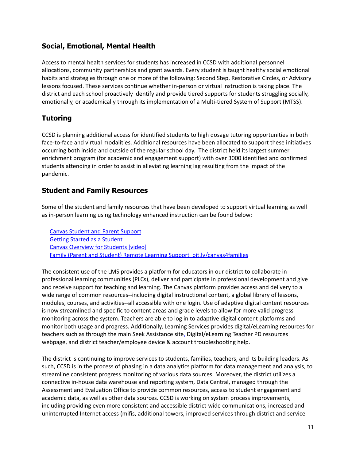#### **Social, Emotional, Mental Health**

Access to mental health services for students has increased in CCSD with additional personnel allocations, community partnerships and grant awards. Every student is taught healthy social emotional habits and strategies through one or more of the following: Second Step, Restorative Circles, or Advisory lessons focused. These services continue whether in-person or virtual instruction is taking place. The district and each school proactively identify and provide tiered supports for students struggling socially, emotionally, or academically through its implementation of a Multi-tiered System of Support (MTSS).

#### **Tutoring**

CCSD is planning additional access for identified students to high dosage tutoring opportunities in both face-to-face and virtual modalities. Additional resources have been allocated to support these initiatives occurring both inside and outside of the regular school day. The district held its largest summer enrichment program (for academic and engagement support) with over 3000 identified and confirmed students attending in order to assist in alleviating learning lag resulting from the impact of the pandemic.

#### **Student and Family Resources**

Some of the student and family resources that have been developed to support virtual learning as well as in-person learning using technology enhanced instruction can be found below:

Canvas Student and Parent [Support](https://sites.google.com/view/seekstistance/canvas/student-parent-support) Getting Started as a [Student](https://community.canvaslms.com/docs/DOC-18574-getting-started-with-canvas-as-a-student) Canvas [Overview](https://community.canvaslms.com/videos/1124-canvas-overview-students) for Students [video] Family (Parent and Student) Remote Learning Support [bit.ly/canvas4families](https://bit.ly/canvas4families)

The consistent use of the LMS provides a platform for educators in our district to collaborate in professional learning communities (PLCs), deliver and participate in professional development and give and receive support for teaching and learning. The Canvas platform provides access and delivery to a wide range of common resources--including digital instructional content, a global library of lessons, modules, courses, and activities--all accessible with one login. Use of adaptive digital content resources is now streamlined and specific to content areas and grade levels to allow for more valid progress monitoring across the system. Teachers are able to log in to adaptive digital content platforms and monitor both usage and progress. Additionally, Learning Services provides digital/eLearning resources for teachers such as through the main Seek Assistance site, Digital/eLearning Teacher PD resources webpage, and district teacher/employee device & account troubleshooting help.

The district is continuing to improve services to students, families, teachers, and its building leaders. As such, CCSD is in the process of phasing in a data analytics platform for data management and analysis, to streamline consistent progress monitoring of various data sources. Moreover, the district utilizes a connective in-house data warehouse and reporting system, Data Central, managed through the Assessment and Evaluation Office to provide common resources, access to student engagement and academic data, as well as other data sources. CCSD is working on system process improvements, including providing even more consistent and accessible district-wide communications, increased and uninterrupted Internet access (mifis, additional towers, improved services through district and service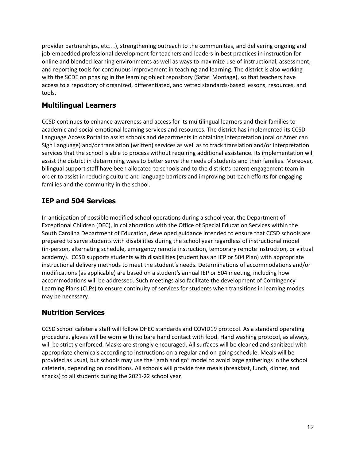provider partnerships, etc…), strengthening outreach to the communities, and delivering ongoing and job-embedded professional development for teachers and leaders in best practices in instruction for online and blended learning environments as well as ways to maximize use of instructional, assessment, and reporting tools for continuous improvement in teaching and learning. The district is also working with the SCDE on phasing in the learning object repository (Safari Montage), so that teachers have access to a repository of organized, differentiated, and vetted standards-based lessons, resources, and tools.

#### **Multilingual Learners**

CCSD continues to enhance awareness and access for its multilingual learners and their families to academic and social emotional learning services and resources. The district has implemented its CCSD Language Access Portal to assist schools and departments in obtaining interpretation (oral or American Sign Language) and/or translation (written) services as well as to track translation and/or interpretation services that the school is able to process without requiring additional assistance. Its implementation will assist the district in determining ways to better serve the needs of students and their families. Moreover, bilingual support staff have been allocated to schools and to the district's parent engagement team in order to assist in reducing culture and language barriers and improving outreach efforts for engaging families and the community in the school.

### **IEP and 504 Services**

In anticipation of possible modified school operations during a school year, the Department of Exceptional Children (DEC), in collaboration with the Office of Special Education Services within the South Carolina Department of Education, developed guidance intended to ensure that CCSD schools are prepared to serve students with disabilities during the school year regardless of instructional model (in-person, alternating schedule, emergency remote instruction, temporary remote instruction, or virtual academy). CCSD supports students with disabilities (student has an IEP or 504 Plan) with appropriate instructional delivery methods to meet the student's needs. Determinations of accommodations and/or modifications (as applicable) are based on a student's annual IEP or 504 meeting, including how accommodations will be addressed. Such meetings also facilitate the development of Contingency Learning Plans (CLPs) to ensure continuity of services for students when transitions in learning modes may be necessary.

### **Nutrition Services**

CCSD school cafeteria staff will follow DHEC standards and COVID19 protocol. As a standard operating procedure, gloves will be worn with no bare hand contact with food. Hand washing protocol, as always, will be strictly enforced. Masks are strongly encouraged. All surfaces will be cleaned and sanitized with appropriate chemicals according to instructions on a regular and on-going schedule. Meals will be provided as usual, but schools may use the "grab and go" model to avoid large gatherings in the school cafeteria, depending on conditions. All schools will provide free meals (breakfast, lunch, dinner, and snacks) to all students during the 2021-22 school year.